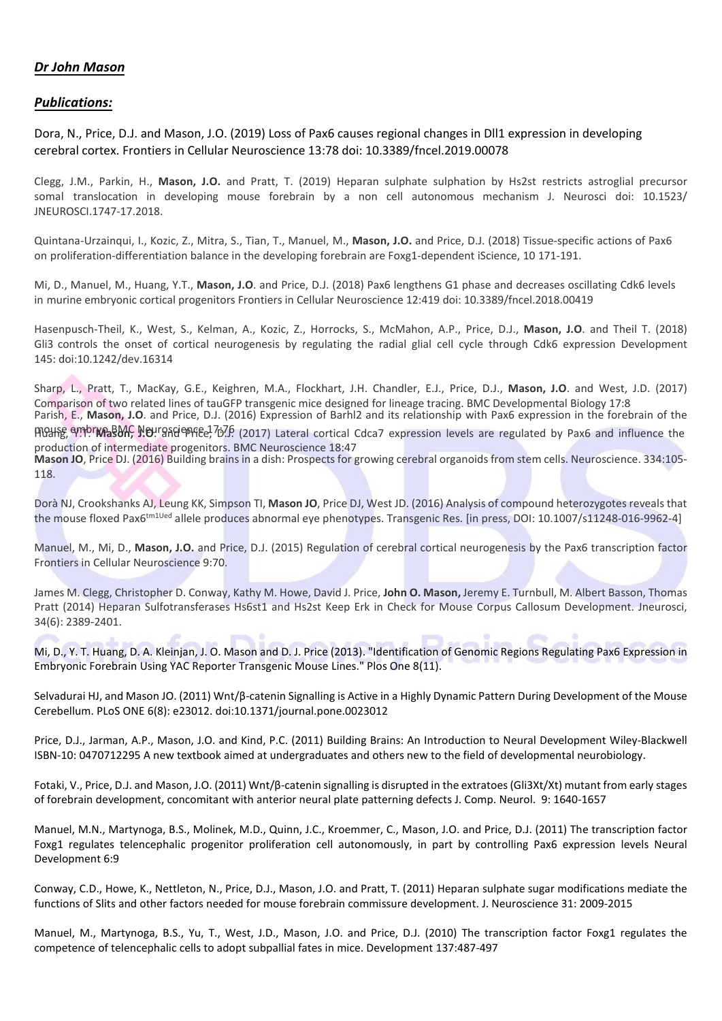## *Dr John Mason*

## *Publications:*

Dora, N., Price, D.J. and Mason, J.O. (2019) Loss of Pax6 causes regional changes in Dll1 expression in developing cerebral cortex. Frontiers in Cellular Neuroscience 13:78 doi: 10.3389/fncel.2019.00078

Clegg, J.M., Parkin, H., **Mason, J.O.** and Pratt, T. (2019) Heparan sulphate sulphation by Hs2st restricts astroglial precursor somal translocation in developing mouse forebrain by a non cell autonomous mechanism J. Neurosci doi: 10.1523/ JNEUROSCI.1747-17.2018.

Quintana-Urzainqui, I., Kozic, Z., Mitra, S., Tian, T., Manuel, M., **Mason, J.O.** and Price, D.J. (2018) Tissue-specific actions of Pax6 on proliferation-differentiation balance in the developing forebrain are Foxg1-dependent iScience, 10 171-191.

Mi, D., Manuel, M., Huang, Y.T., **Mason, J.O**. and Price, D.J. (2018) Pax6 lengthens G1 phase and decreases oscillating Cdk6 levels in murine embryonic cortical progenitors Frontiers in Cellular Neuroscience 12:419 doi: 10.3389/fncel.2018.00419

Hasenpusch-Theil, K., West, S., Kelman, A., Kozic, Z., Horrocks, S., McMahon, A.P., Price, D.J., **Mason, J.O**. and Theil T. (2018) Gli3 controls the onset of cortical neurogenesis by regulating the radial glial cell cycle through Cdk6 expression Development 145: doi:10.1242/dev.16314

Sharp, L., Pratt, T., MacKay, G.E., Keighren, M.A., Flockhart, J.H. Chandler, E.J., Price, D.J., **Mason, J.O**. and West, J.D. (2017) Comparison of two related lines of tauGFP transgenic mice designed for lineage tracing. BMC Developmental Biology 17:8 moure, ambr**was MC, Neurgaciencee, 7076** (2017) Lateral cortical Cdca7 expression levels are regulated by Pax6 and influence the production of intermediate progenitors. BMC Neuroscience 18:47 Parish, E., **Mason, J.O**. and Price, D.J. (2016) Expression of Barhl2 and its relationship with Pax6 expression in the forebrain of the **Mason JO**, Price DJ. (2016) Building brains in a dish: Prospects for growing cerebral organoids from stem cells. Neuroscience. 334:105- 118.

Dorà NJ, Crookshanks AJ, Leung KK, Simpson TI, **Mason JO**, Price DJ, West JD. (2016) Analysis of compound heterozygotes reveals that the mouse floxed Pax6<sup>tm1Ued</sup> allele produces abnormal eye phenotypes. Transgenic Res. [in press, DOI: 10.1007/s11248-016-9962-4]

Manuel, M., Mi, D., **Mason, J.O.** and Price, D.J. (2015) Regulation of cerebral cortical neurogenesis by the Pax6 transcription factor Frontiers in Cellular Neuroscience 9:70.

James M. Clegg, Christopher D. Conway, Kathy M. Howe, David J. Price, **John O. Mason,** Jeremy E. Turnbull, M. Albert Basson, Thomas Pratt (2014) Heparan Sulfotransferases Hs6st1 and Hs2st Keep Erk in Check for Mouse Corpus Callosum Development. Jneurosci, 34(6): 2389-2401.

Mi, D., Y. T. Huang, D. A. Kleinjan, J. O. Mason and D. J. Price (2013). "Identification of Genomic Regions Regulating Pax6 Expression in Embryonic Forebrain Using YAC Reporter Transgenic Mouse Lines." Plos One 8(11).

Selvadurai HJ, and Mason JO. (2011) Wnt/β-catenin Signalling is Active in a Highly Dynamic Pattern During Development of the Mouse Cerebellum. PLoS ONE 6(8): e23012. doi:10.1371/journal.pone.0023012

Price, D.J., Jarman, A.P., Mason, J.O. and Kind, P.C. (2011) Building Brains: An Introduction to Neural Development Wiley-Blackwell ISBN-10: 0470712295 A new textbook aimed at undergraduates and others new to the field of developmental neurobiology.

Fotaki, V., Price, D.J. and Mason, J.O. (2011) Wnt/β-catenin signalling is disrupted in the extratoes (Gli3Xt/Xt) mutant from early stages of forebrain development, concomitant with anterior neural plate patterning defects J. Comp. Neurol. 9: 1640-1657

Manuel, M.N., Martynoga, B.S., Molinek, M.D., Quinn, J.C., Kroemmer, C., Mason, J.O. and Price, D.J. (2011) The transcription factor Foxg1 regulates telencephalic progenitor proliferation cell autonomously, in part by controlling Pax6 expression levels Neural Development 6:9

Conway, C.D., Howe, K., Nettleton, N., Price, D.J., Mason, J.O. and Pratt, T. (2011) Heparan sulphate sugar modifications mediate the functions of Slits and other factors needed for mouse forebrain commissure development. J. Neuroscience 31: 2009-2015

Manuel, M., Martynoga, B.S., Yu, T., West, J.D., Mason, J.O. and Price, D.J. (2010) The transcription factor Foxg1 regulates the competence of telencephalic cells to adopt subpallial fates in mice. Development 137:487-497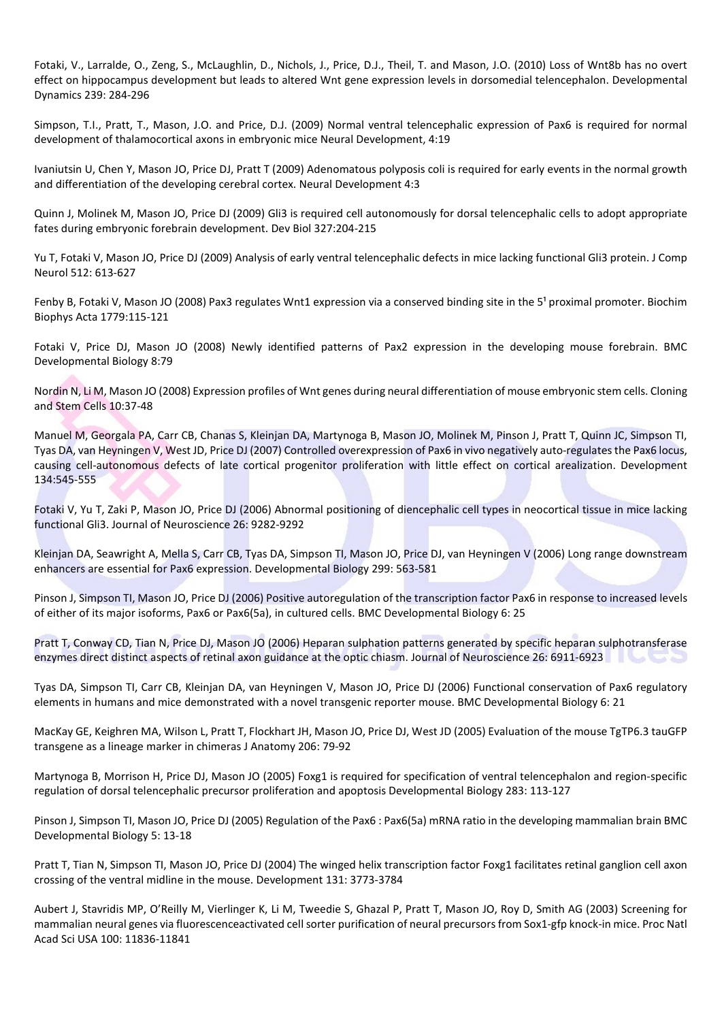Fotaki, V., Larralde, O., Zeng, S., McLaughlin, D., Nichols, J., Price, D.J., Theil, T. and Mason, J.O. (2010) Loss of Wnt8b has no overt effect on hippocampus development but leads to altered Wnt gene expression levels in dorsomedial telencephalon. Developmental Dynamics 239: 284-296

Simpson, T.I., Pratt, T., Mason, J.O. and Price, D.J. (2009) Normal ventral telencephalic expression of Pax6 is required for normal development of thalamocortical axons in embryonic mice Neural Development, 4:19

Ivaniutsin U, Chen Y, Mason JO, Price DJ, Pratt T (2009) Adenomatous polyposis coli is required for early events in the normal growth and differentiation of the developing cerebral cortex. Neural Development 4:3

Quinn J, Molinek M, Mason JO, Price DJ (2009) Gli3 is required cell autonomously for dorsal telencephalic cells to adopt appropriate fates during embryonic forebrain development. Dev Biol 327:204-215

Yu T, Fotaki V, Mason JO, Price DJ (2009) Analysis of early ventral telencephalic defects in mice lacking functional Gli3 protein. J Comp Neurol 512: 613-627

Fenby B, Fotaki V, Mason JO (2008) Pax3 regulates Wnt1 expression via a conserved binding site in the 5<sup>1</sup> proximal promoter. Biochim Biophys Acta 1779:115-121

Fotaki V, Price DJ, Mason JO (2008) Newly identified patterns of Pax2 expression in the developing mouse forebrain. BMC Developmental Biology 8:79

Nordin N, Li M, Mason JO (2008) Expression profiles of Wnt genes during neural differentiation of mouse embryonic stem cells. Cloning and Stem Cells 10:37-48

Manuel M, Georgala PA, Carr CB, Chanas S, Kleinjan DA, Martynoga B, Mason JO, Molinek M, Pinson J, Pratt T, Quinn JC, Simpson TI, Tyas DA, van Heyningen V, West JD, Price DJ (2007) Controlled overexpression of Pax6 in vivo negatively auto-regulates the Pax6 locus, causing cell-autonomous defects of late cortical progenitor proliferation with little effect on cortical arealization. Development 134:545-555

Fotaki V, Yu T, Zaki P, Mason JO, Price DJ (2006) Abnormal positioning of diencephalic cell types in neocortical tissue in mice lacking functional Gli3. Journal of Neuroscience 26: 9282-9292

Kleinjan DA, Seawright A, Mella S, Carr CB, Tyas DA, Simpson TI, Mason JO, Price DJ, van Heyningen V (2006) Long range downstream enhancers are essential for Pax6 expression. Developmental Biology 299: 563-581

Pinson J, Simpson TI, Mason JO, Price DJ (2006) Positive autoregulation of the transcription factor Pax6 in response to increased levels of either of its major isoforms, Pax6 or Pax6(5a), in cultured cells. BMC Developmental Biology 6: 25

Pratt T, Conway CD, Tian N, Price DJ, Mason JO (2006) Heparan sulphation patterns generated by specific heparan sulphotransferase enzymes direct distinct aspects of retinal axon guidance at the optic chiasm. Journal of Neuroscience 26: 6911-6923

Tyas DA, Simpson TI, Carr CB, Kleinjan DA, van Heyningen V, Mason JO, Price DJ (2006) Functional conservation of Pax6 regulatory elements in humans and mice demonstrated with a novel transgenic reporter mouse. BMC Developmental Biology 6: 21

MacKay GE, Keighren MA, Wilson L, Pratt T, Flockhart JH, Mason JO, Price DJ, West JD (2005) Evaluation of the mouse TgTP6.3 tauGFP transgene as a lineage marker in chimeras J Anatomy 206: 79-92

Martynoga B, Morrison H, Price DJ, Mason JO (2005) Foxg1 is required for specification of ventral telencephalon and region-specific regulation of dorsal telencephalic precursor proliferation and apoptosis Developmental Biology 283: 113-127

Pinson J, Simpson TI, Mason JO, Price DJ (2005) Regulation of the Pax6 : Pax6(5a) mRNA ratio in the developing mammalian brain BMC Developmental Biology 5: 13-18

Pratt T, Tian N, Simpson TI, Mason JO, Price DJ (2004) The winged helix transcription factor Foxg1 facilitates retinal ganglion cell axon crossing of the ventral midline in the mouse. Development 131: 3773-3784

Aubert J, Stavridis MP, O'Reilly M, Vierlinger K, Li M, Tweedie S, Ghazal P, Pratt T, Mason JO, Roy D, Smith AG (2003) Screening for mammalian neural genes via fluorescenceactivated cell sorter purification of neural precursors from Sox1-gfp knock-in mice. Proc Natl Acad Sci USA 100: 11836-11841